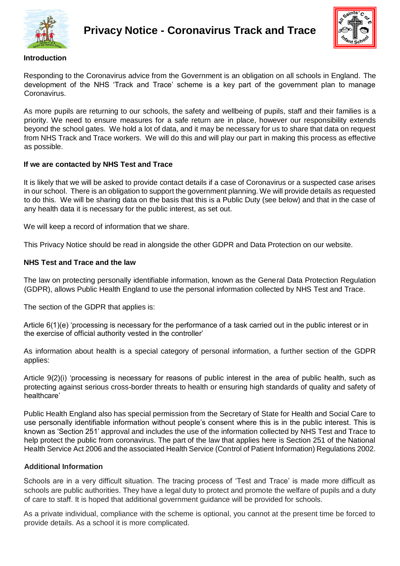



### **Introduction**

Responding to the Coronavirus advice from the Government is an obligation on all schools in England. The development of the NHS 'Track and Trace' scheme is a key part of the government plan to manage Coronavirus.

As more pupils are returning to our schools, the safety and wellbeing of pupils, staff and their families is a priority. We need to ensure measures for a safe return are in place, however our responsibility extends beyond the school gates. We hold a lot of data, and it may be necessary for us to share that data on request from NHS Track and Trace workers. We will do this and will play our part in making this process as effective as possible.

## **If we are contacted by NHS Test and Trace**

It is likely that we will be asked to provide contact details if a case of Coronavirus or a suspected case arises in our school. There is an obligation to support the government planning. We will provide details as requested to do this. We will be sharing data on the basis that this is a Public Duty (see below) and that in the case of any health data it is necessary for the public interest, as set out.

We will keep a record of information that we share.

This Privacy Notice should be read in alongside the other GDPR and Data Protection on our website.

## **NHS Test and Trace and the law**

The law on protecting personally identifiable information, known as the General Data Protection Regulation (GDPR), allows Public Health England to use the personal information collected by NHS Test and Trace.

The section of the GDPR that applies is:

Article 6(1)(e) 'processing is necessary for the performance of a task carried out in the public interest or in the exercise of official authority vested in the controller'

As information about health is a special category of personal information, a further section of the GDPR applies:

Article 9(2)(i) 'processing is necessary for reasons of public interest in the area of public health, such as protecting against serious cross-border threats to health or ensuring high standards of quality and safety of healthcare'

Public Health England also has special permission from the Secretary of State for Health and Social Care to use personally identifiable information without people's consent where this is in the public interest. This is known as 'Section 251' approval and includes the use of the information collected by NHS Test and Trace to help protect the public from coronavirus. The part of the law that applies here is Section 251 of the National Health Service Act 2006 and the associated Health Service (Control of Patient Information) Regulations 2002.

## **Additional Information**

Schools are in a very difficult situation. The tracing process of 'Test and Trace' is made more difficult as schools are public authorities. They have a legal duty to protect and promote the welfare of pupils and a duty of care to staff. It is hoped that additional government guidance will be provided for schools.

As a private individual, compliance with the scheme is optional, you cannot at the present time be forced to provide details. As a school it is more complicated.